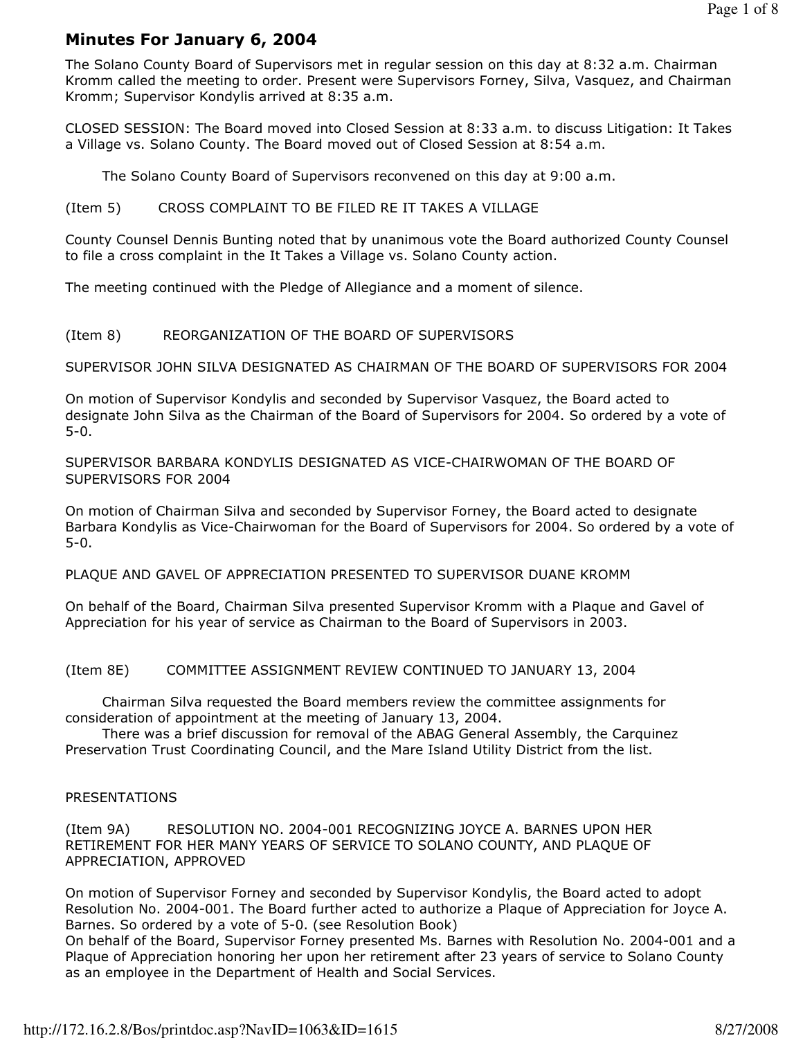# Minutes For January 6, 2004

The Solano County Board of Supervisors met in regular session on this day at 8:32 a.m. Chairman Kromm called the meeting to order. Present were Supervisors Forney, Silva, Vasquez, and Chairman Kromm; Supervisor Kondylis arrived at 8:35 a.m.

CLOSED SESSION: The Board moved into Closed Session at 8:33 a.m. to discuss Litigation: It Takes a Village vs. Solano County. The Board moved out of Closed Session at 8:54 a.m.

The Solano County Board of Supervisors reconvened on this day at 9:00 a.m.

### (Item 5) CROSS COMPLAINT TO BE FILED RE IT TAKES A VILLAGE

County Counsel Dennis Bunting noted that by unanimous vote the Board authorized County Counsel to file a cross complaint in the It Takes a Village vs. Solano County action.

The meeting continued with the Pledge of Allegiance and a moment of silence.

#### (Item 8) REORGANIZATION OF THE BOARD OF SUPERVISORS

SUPERVISOR JOHN SILVA DESIGNATED AS CHAIRMAN OF THE BOARD OF SUPERVISORS FOR 2004

On motion of Supervisor Kondylis and seconded by Supervisor Vasquez, the Board acted to designate John Silva as the Chairman of the Board of Supervisors for 2004. So ordered by a vote of 5-0.

SUPERVISOR BARBARA KONDYLIS DESIGNATED AS VICE-CHAIRWOMAN OF THE BOARD OF SUPERVISORS FOR 2004

On motion of Chairman Silva and seconded by Supervisor Forney, the Board acted to designate Barbara Kondylis as Vice-Chairwoman for the Board of Supervisors for 2004. So ordered by a vote of 5-0.

PLAQUE AND GAVEL OF APPRECIATION PRESENTED TO SUPERVISOR DUANE KROMM

On behalf of the Board, Chairman Silva presented Supervisor Kromm with a Plaque and Gavel of Appreciation for his year of service as Chairman to the Board of Supervisors in 2003.

(Item 8E) COMMITTEE ASSIGNMENT REVIEW CONTINUED TO JANUARY 13, 2004

 Chairman Silva requested the Board members review the committee assignments for consideration of appointment at the meeting of January 13, 2004.

 There was a brief discussion for removal of the ABAG General Assembly, the Carquinez Preservation Trust Coordinating Council, and the Mare Island Utility District from the list.

### PRESENTATIONS

(Item 9A) RESOLUTION NO. 2004-001 RECOGNIZING JOYCE A. BARNES UPON HER RETIREMENT FOR HER MANY YEARS OF SERVICE TO SOLANO COUNTY, AND PLAQUE OF APPRECIATION, APPROVED

On motion of Supervisor Forney and seconded by Supervisor Kondylis, the Board acted to adopt Resolution No. 2004-001. The Board further acted to authorize a Plaque of Appreciation for Joyce A. Barnes. So ordered by a vote of 5-0. (see Resolution Book)

On behalf of the Board, Supervisor Forney presented Ms. Barnes with Resolution No. 2004-001 and a Plaque of Appreciation honoring her upon her retirement after 23 years of service to Solano County as an employee in the Department of Health and Social Services.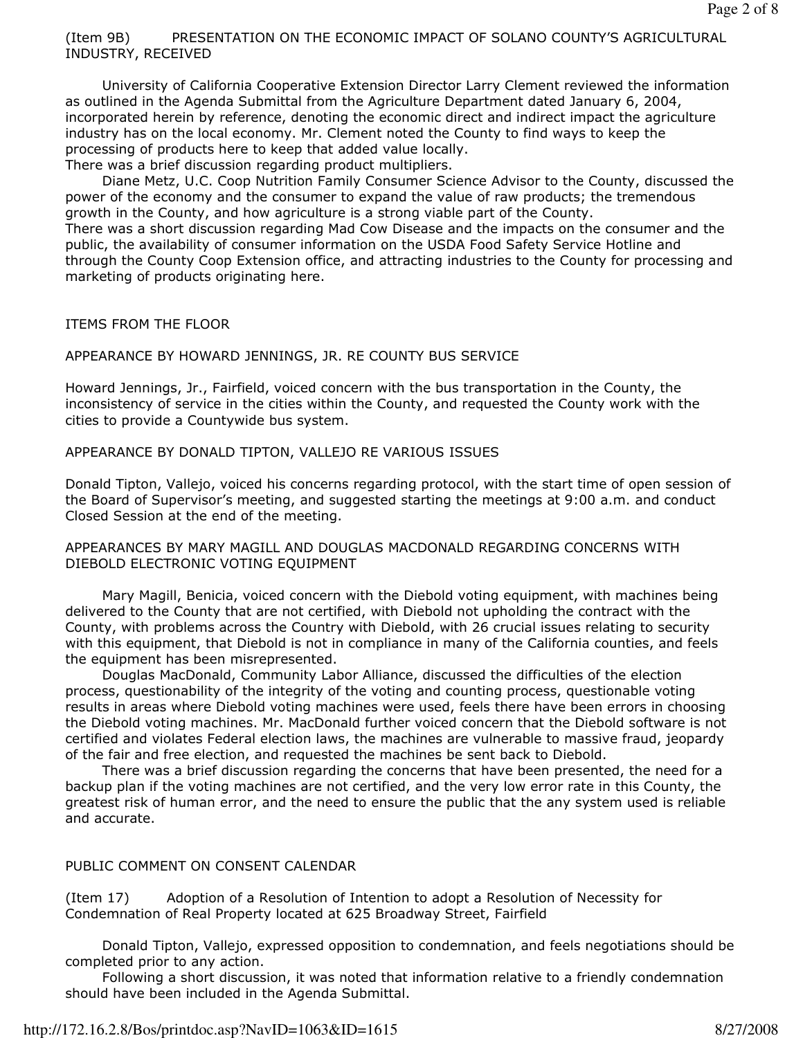## (Item 9B) PRESENTATION ON THE ECONOMIC IMPACT OF SOLANO COUNTY'S AGRICULTURAL INDUSTRY, RECEIVED

 University of California Cooperative Extension Director Larry Clement reviewed the information as outlined in the Agenda Submittal from the Agriculture Department dated January 6, 2004, incorporated herein by reference, denoting the economic direct and indirect impact the agriculture industry has on the local economy. Mr. Clement noted the County to find ways to keep the processing of products here to keep that added value locally. There was a brief discussion regarding product multipliers.

 Diane Metz, U.C. Coop Nutrition Family Consumer Science Advisor to the County, discussed the power of the economy and the consumer to expand the value of raw products; the tremendous growth in the County, and how agriculture is a strong viable part of the County. There was a short discussion regarding Mad Cow Disease and the impacts on the consumer and the public, the availability of consumer information on the USDA Food Safety Service Hotline and through the County Coop Extension office, and attracting industries to the County for processing and marketing of products originating here.

# ITEMS FROM THE FLOOR

# APPEARANCE BY HOWARD JENNINGS, JR. RE COUNTY BUS SERVICE

Howard Jennings, Jr., Fairfield, voiced concern with the bus transportation in the County, the inconsistency of service in the cities within the County, and requested the County work with the cities to provide a Countywide bus system.

## APPEARANCE BY DONALD TIPTON, VALLEJO RE VARIOUS ISSUES

Donald Tipton, Vallejo, voiced his concerns regarding protocol, with the start time of open session of the Board of Supervisor's meeting, and suggested starting the meetings at 9:00 a.m. and conduct Closed Session at the end of the meeting.

## APPEARANCES BY MARY MAGILL AND DOUGLAS MACDONALD REGARDING CONCERNS WITH DIEBOLD ELECTRONIC VOTING EQUIPMENT

 Mary Magill, Benicia, voiced concern with the Diebold voting equipment, with machines being delivered to the County that are not certified, with Diebold not upholding the contract with the County, with problems across the Country with Diebold, with 26 crucial issues relating to security with this equipment, that Diebold is not in compliance in many of the California counties, and feels the equipment has been misrepresented.

 Douglas MacDonald, Community Labor Alliance, discussed the difficulties of the election process, questionability of the integrity of the voting and counting process, questionable voting results in areas where Diebold voting machines were used, feels there have been errors in choosing the Diebold voting machines. Mr. MacDonald further voiced concern that the Diebold software is not certified and violates Federal election laws, the machines are vulnerable to massive fraud, jeopardy of the fair and free election, and requested the machines be sent back to Diebold.

 There was a brief discussion regarding the concerns that have been presented, the need for a backup plan if the voting machines are not certified, and the very low error rate in this County, the greatest risk of human error, and the need to ensure the public that the any system used is reliable and accurate.

# PUBLIC COMMENT ON CONSENT CALENDAR

(Item 17) Adoption of a Resolution of Intention to adopt a Resolution of Necessity for Condemnation of Real Property located at 625 Broadway Street, Fairfield

 Donald Tipton, Vallejo, expressed opposition to condemnation, and feels negotiations should be completed prior to any action.

 Following a short discussion, it was noted that information relative to a friendly condemnation should have been included in the Agenda Submittal.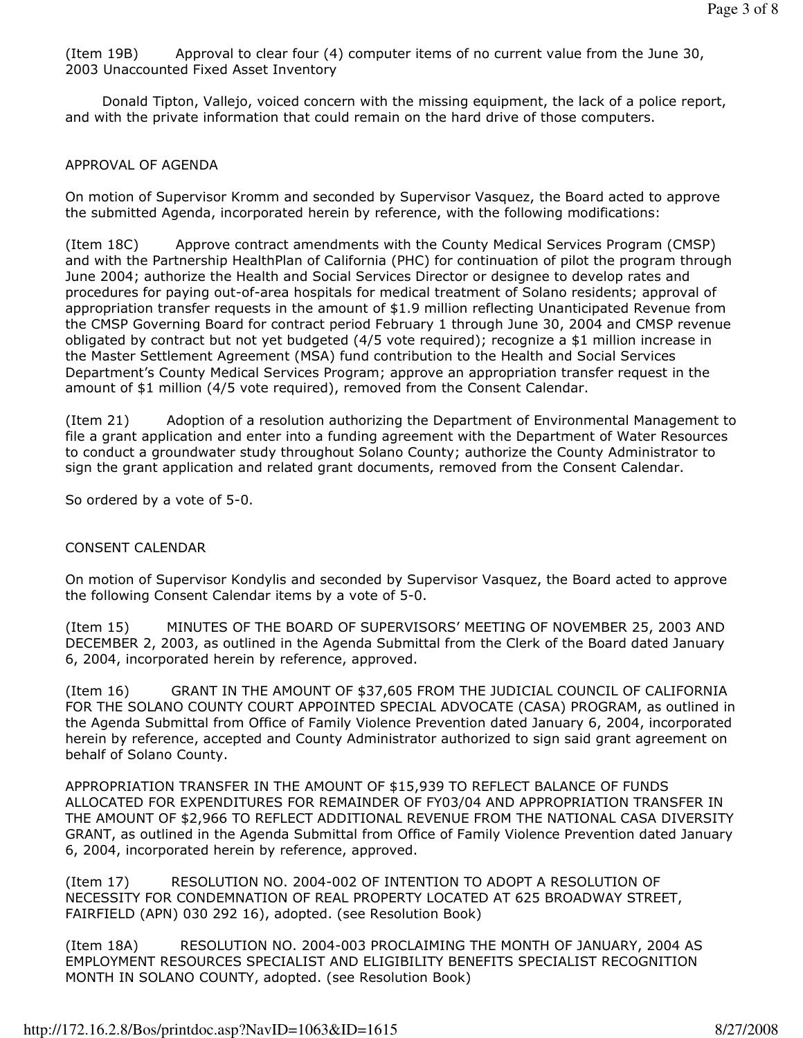(Item 19B) Approval to clear four (4) computer items of no current value from the June 30, 2003 Unaccounted Fixed Asset Inventory

 Donald Tipton, Vallejo, voiced concern with the missing equipment, the lack of a police report, and with the private information that could remain on the hard drive of those computers.

### APPROVAL OF AGENDA

On motion of Supervisor Kromm and seconded by Supervisor Vasquez, the Board acted to approve the submitted Agenda, incorporated herein by reference, with the following modifications:

(Item 18C) Approve contract amendments with the County Medical Services Program (CMSP) and with the Partnership HealthPlan of California (PHC) for continuation of pilot the program through June 2004; authorize the Health and Social Services Director or designee to develop rates and procedures for paying out-of-area hospitals for medical treatment of Solano residents; approval of appropriation transfer requests in the amount of \$1.9 million reflecting Unanticipated Revenue from the CMSP Governing Board for contract period February 1 through June 30, 2004 and CMSP revenue obligated by contract but not yet budgeted (4/5 vote required); recognize a \$1 million increase in the Master Settlement Agreement (MSA) fund contribution to the Health and Social Services Department's County Medical Services Program; approve an appropriation transfer request in the amount of \$1 million (4/5 vote required), removed from the Consent Calendar.

(Item 21) Adoption of a resolution authorizing the Department of Environmental Management to file a grant application and enter into a funding agreement with the Department of Water Resources to conduct a groundwater study throughout Solano County; authorize the County Administrator to sign the grant application and related grant documents, removed from the Consent Calendar.

So ordered by a vote of 5-0.

### CONSENT CALENDAR

On motion of Supervisor Kondylis and seconded by Supervisor Vasquez, the Board acted to approve the following Consent Calendar items by a vote of 5-0.

(Item 15) MINUTES OF THE BOARD OF SUPERVISORS' MEETING OF NOVEMBER 25, 2003 AND DECEMBER 2, 2003, as outlined in the Agenda Submittal from the Clerk of the Board dated January 6, 2004, incorporated herein by reference, approved.

(Item 16) GRANT IN THE AMOUNT OF \$37,605 FROM THE JUDICIAL COUNCIL OF CALIFORNIA FOR THE SOLANO COUNTY COURT APPOINTED SPECIAL ADVOCATE (CASA) PROGRAM, as outlined in the Agenda Submittal from Office of Family Violence Prevention dated January 6, 2004, incorporated herein by reference, accepted and County Administrator authorized to sign said grant agreement on behalf of Solano County.

APPROPRIATION TRANSFER IN THE AMOUNT OF \$15,939 TO REFLECT BALANCE OF FUNDS ALLOCATED FOR EXPENDITURES FOR REMAINDER OF FY03/04 AND APPROPRIATION TRANSFER IN THE AMOUNT OF \$2,966 TO REFLECT ADDITIONAL REVENUE FROM THE NATIONAL CASA DIVERSITY GRANT, as outlined in the Agenda Submittal from Office of Family Violence Prevention dated January 6, 2004, incorporated herein by reference, approved.

(Item 17) RESOLUTION NO. 2004-002 OF INTENTION TO ADOPT A RESOLUTION OF NECESSITY FOR CONDEMNATION OF REAL PROPERTY LOCATED AT 625 BROADWAY STREET, FAIRFIELD (APN) 030 292 16), adopted. (see Resolution Book)

(Item 18A) RESOLUTION NO. 2004-003 PROCLAIMING THE MONTH OF JANUARY, 2004 AS EMPLOYMENT RESOURCES SPECIALIST AND ELIGIBILITY BENEFITS SPECIALIST RECOGNITION MONTH IN SOLANO COUNTY, adopted. (see Resolution Book)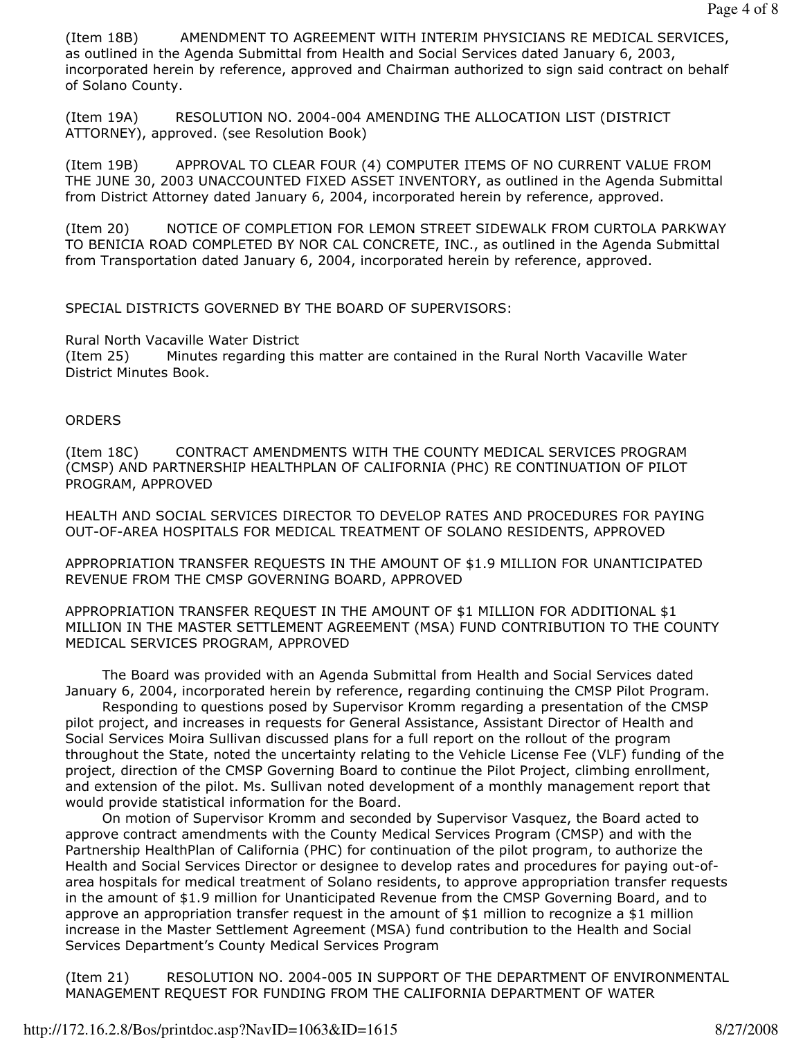(Item 18B) AMENDMENT TO AGREEMENT WITH INTERIM PHYSICIANS RE MEDICAL SERVICES, as outlined in the Agenda Submittal from Health and Social Services dated January 6, 2003, incorporated herein by reference, approved and Chairman authorized to sign said contract on behalf of Solano County.

(Item 19A) RESOLUTION NO. 2004-004 AMENDING THE ALLOCATION LIST (DISTRICT ATTORNEY), approved. (see Resolution Book)

(Item 19B) APPROVAL TO CLEAR FOUR (4) COMPUTER ITEMS OF NO CURRENT VALUE FROM THE JUNE 30, 2003 UNACCOUNTED FIXED ASSET INVENTORY, as outlined in the Agenda Submittal from District Attorney dated January 6, 2004, incorporated herein by reference, approved.

(Item 20) NOTICE OF COMPLETION FOR LEMON STREET SIDEWALK FROM CURTOLA PARKWAY TO BENICIA ROAD COMPLETED BY NOR CAL CONCRETE, INC., as outlined in the Agenda Submittal from Transportation dated January 6, 2004, incorporated herein by reference, approved.

SPECIAL DISTRICTS GOVERNED BY THE BOARD OF SUPERVISORS:

Rural North Vacaville Water District

(Item 25) Minutes regarding this matter are contained in the Rural North Vacaville Water District Minutes Book.

#### **ORDERS**

(Item 18C) CONTRACT AMENDMENTS WITH THE COUNTY MEDICAL SERVICES PROGRAM (CMSP) AND PARTNERSHIP HEALTHPLAN OF CALIFORNIA (PHC) RE CONTINUATION OF PILOT PROGRAM, APPROVED

HEALTH AND SOCIAL SERVICES DIRECTOR TO DEVELOP RATES AND PROCEDURES FOR PAYING OUT-OF-AREA HOSPITALS FOR MEDICAL TREATMENT OF SOLANO RESIDENTS, APPROVED

APPROPRIATION TRANSFER REQUESTS IN THE AMOUNT OF \$1.9 MILLION FOR UNANTICIPATED REVENUE FROM THE CMSP GOVERNING BOARD, APPROVED

APPROPRIATION TRANSFER REQUEST IN THE AMOUNT OF \$1 MILLION FOR ADDITIONAL \$1 MILLION IN THE MASTER SETTLEMENT AGREEMENT (MSA) FUND CONTRIBUTION TO THE COUNTY MEDICAL SERVICES PROGRAM, APPROVED

 The Board was provided with an Agenda Submittal from Health and Social Services dated January 6, 2004, incorporated herein by reference, regarding continuing the CMSP Pilot Program.

 Responding to questions posed by Supervisor Kromm regarding a presentation of the CMSP pilot project, and increases in requests for General Assistance, Assistant Director of Health and Social Services Moira Sullivan discussed plans for a full report on the rollout of the program throughout the State, noted the uncertainty relating to the Vehicle License Fee (VLF) funding of the project, direction of the CMSP Governing Board to continue the Pilot Project, climbing enrollment, and extension of the pilot. Ms. Sullivan noted development of a monthly management report that would provide statistical information for the Board.

 On motion of Supervisor Kromm and seconded by Supervisor Vasquez, the Board acted to approve contract amendments with the County Medical Services Program (CMSP) and with the Partnership HealthPlan of California (PHC) for continuation of the pilot program, to authorize the Health and Social Services Director or designee to develop rates and procedures for paying out-ofarea hospitals for medical treatment of Solano residents, to approve appropriation transfer requests in the amount of \$1.9 million for Unanticipated Revenue from the CMSP Governing Board, and to approve an appropriation transfer request in the amount of \$1 million to recognize a \$1 million increase in the Master Settlement Agreement (MSA) fund contribution to the Health and Social Services Department's County Medical Services Program

(Item 21) RESOLUTION NO. 2004-005 IN SUPPORT OF THE DEPARTMENT OF ENVIRONMENTAL MANAGEMENT REQUEST FOR FUNDING FROM THE CALIFORNIA DEPARTMENT OF WATER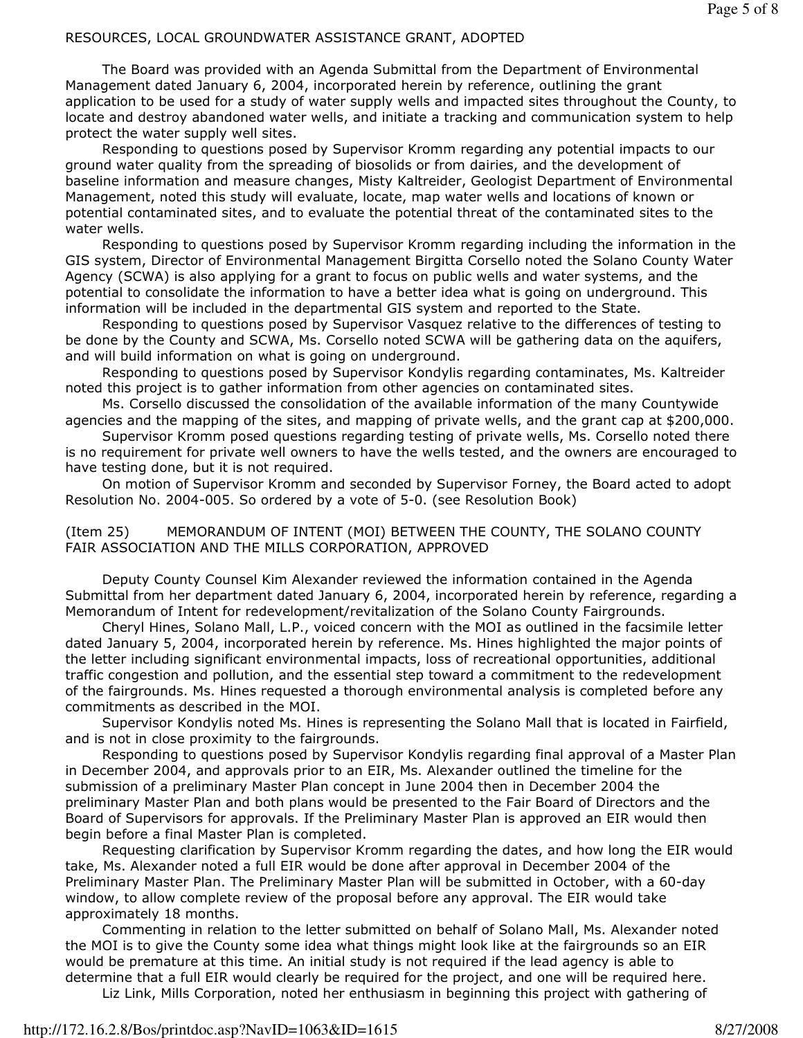## RESOURCES, LOCAL GROUNDWATER ASSISTANCE GRANT, ADOPTED

 The Board was provided with an Agenda Submittal from the Department of Environmental Management dated January 6, 2004, incorporated herein by reference, outlining the grant application to be used for a study of water supply wells and impacted sites throughout the County, to locate and destroy abandoned water wells, and initiate a tracking and communication system to help protect the water supply well sites.

 Responding to questions posed by Supervisor Kromm regarding any potential impacts to our ground water quality from the spreading of biosolids or from dairies, and the development of baseline information and measure changes, Misty Kaltreider, Geologist Department of Environmental Management, noted this study will evaluate, locate, map water wells and locations of known or potential contaminated sites, and to evaluate the potential threat of the contaminated sites to the water wells.

 Responding to questions posed by Supervisor Kromm regarding including the information in the GIS system, Director of Environmental Management Birgitta Corsello noted the Solano County Water Agency (SCWA) is also applying for a grant to focus on public wells and water systems, and the potential to consolidate the information to have a better idea what is going on underground. This information will be included in the departmental GIS system and reported to the State.

 Responding to questions posed by Supervisor Vasquez relative to the differences of testing to be done by the County and SCWA, Ms. Corsello noted SCWA will be gathering data on the aquifers, and will build information on what is going on underground.

 Responding to questions posed by Supervisor Kondylis regarding contaminates, Ms. Kaltreider noted this project is to gather information from other agencies on contaminated sites.

 Ms. Corsello discussed the consolidation of the available information of the many Countywide agencies and the mapping of the sites, and mapping of private wells, and the grant cap at \$200,000.

 Supervisor Kromm posed questions regarding testing of private wells, Ms. Corsello noted there is no requirement for private well owners to have the wells tested, and the owners are encouraged to have testing done, but it is not required.

 On motion of Supervisor Kromm and seconded by Supervisor Forney, the Board acted to adopt Resolution No. 2004-005. So ordered by a vote of 5-0. (see Resolution Book)

(Item 25) MEMORANDUM OF INTENT (MOI) BETWEEN THE COUNTY, THE SOLANO COUNTY FAIR ASSOCIATION AND THE MILLS CORPORATION, APPROVED

 Deputy County Counsel Kim Alexander reviewed the information contained in the Agenda Submittal from her department dated January 6, 2004, incorporated herein by reference, regarding a Memorandum of Intent for redevelopment/revitalization of the Solano County Fairgrounds.

 Cheryl Hines, Solano Mall, L.P., voiced concern with the MOI as outlined in the facsimile letter dated January 5, 2004, incorporated herein by reference. Ms. Hines highlighted the major points of the letter including significant environmental impacts, loss of recreational opportunities, additional traffic congestion and pollution, and the essential step toward a commitment to the redevelopment of the fairgrounds. Ms. Hines requested a thorough environmental analysis is completed before any commitments as described in the MOI.

 Supervisor Kondylis noted Ms. Hines is representing the Solano Mall that is located in Fairfield, and is not in close proximity to the fairgrounds.

 Responding to questions posed by Supervisor Kondylis regarding final approval of a Master Plan in December 2004, and approvals prior to an EIR, Ms. Alexander outlined the timeline for the submission of a preliminary Master Plan concept in June 2004 then in December 2004 the preliminary Master Plan and both plans would be presented to the Fair Board of Directors and the Board of Supervisors for approvals. If the Preliminary Master Plan is approved an EIR would then begin before a final Master Plan is completed.

 Requesting clarification by Supervisor Kromm regarding the dates, and how long the EIR would take, Ms. Alexander noted a full EIR would be done after approval in December 2004 of the Preliminary Master Plan. The Preliminary Master Plan will be submitted in October, with a 60-day window, to allow complete review of the proposal before any approval. The EIR would take approximately 18 months.

 Commenting in relation to the letter submitted on behalf of Solano Mall, Ms. Alexander noted the MOI is to give the County some idea what things might look like at the fairgrounds so an EIR would be premature at this time. An initial study is not required if the lead agency is able to determine that a full EIR would clearly be required for the project, and one will be required here. Liz Link, Mills Corporation, noted her enthusiasm in beginning this project with gathering of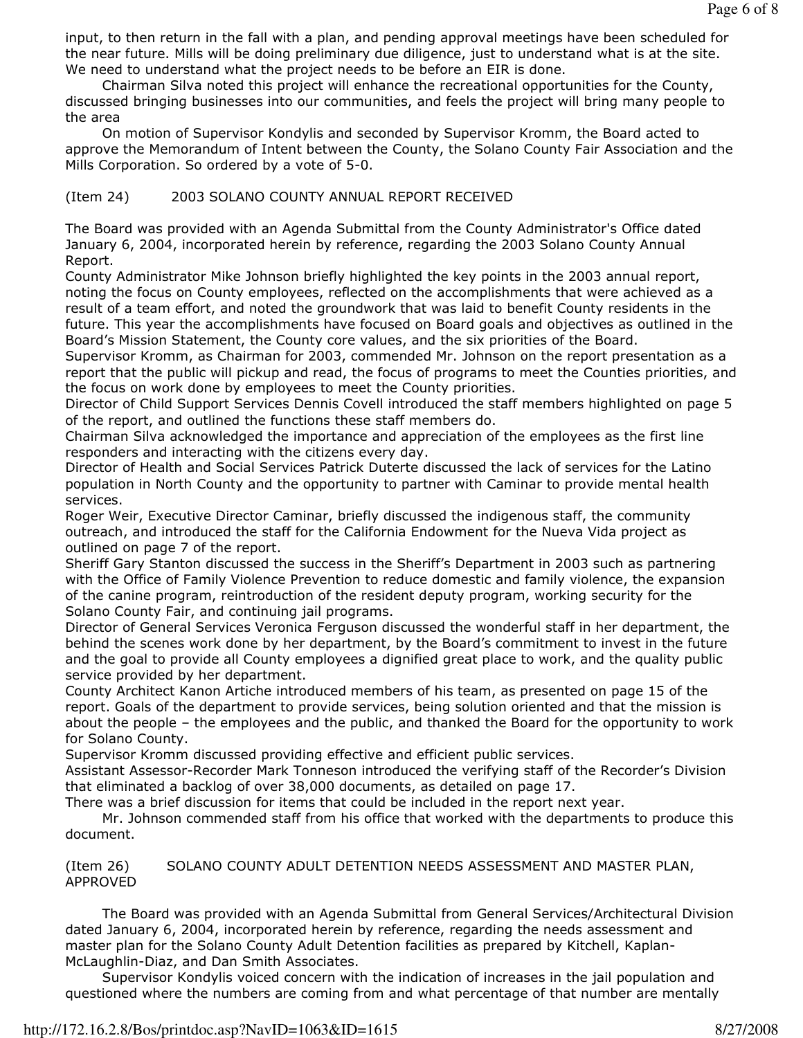input, to then return in the fall with a plan, and pending approval meetings have been scheduled for the near future. Mills will be doing preliminary due diligence, just to understand what is at the site. We need to understand what the project needs to be before an EIR is done.

 Chairman Silva noted this project will enhance the recreational opportunities for the County, discussed bringing businesses into our communities, and feels the project will bring many people to the area

 On motion of Supervisor Kondylis and seconded by Supervisor Kromm, the Board acted to approve the Memorandum of Intent between the County, the Solano County Fair Association and the Mills Corporation. So ordered by a vote of 5-0.

## (Item 24) 2003 SOLANO COUNTY ANNUAL REPORT RECEIVED

The Board was provided with an Agenda Submittal from the County Administrator's Office dated January 6, 2004, incorporated herein by reference, regarding the 2003 Solano County Annual Report.

County Administrator Mike Johnson briefly highlighted the key points in the 2003 annual report, noting the focus on County employees, reflected on the accomplishments that were achieved as a result of a team effort, and noted the groundwork that was laid to benefit County residents in the future. This year the accomplishments have focused on Board goals and objectives as outlined in the Board's Mission Statement, the County core values, and the six priorities of the Board.

Supervisor Kromm, as Chairman for 2003, commended Mr. Johnson on the report presentation as a report that the public will pickup and read, the focus of programs to meet the Counties priorities, and the focus on work done by employees to meet the County priorities.

Director of Child Support Services Dennis Covell introduced the staff members highlighted on page 5 of the report, and outlined the functions these staff members do.

Chairman Silva acknowledged the importance and appreciation of the employees as the first line responders and interacting with the citizens every day.

Director of Health and Social Services Patrick Duterte discussed the lack of services for the Latino population in North County and the opportunity to partner with Caminar to provide mental health services.

Roger Weir, Executive Director Caminar, briefly discussed the indigenous staff, the community outreach, and introduced the staff for the California Endowment for the Nueva Vida project as outlined on page 7 of the report.

Sheriff Gary Stanton discussed the success in the Sheriff's Department in 2003 such as partnering with the Office of Family Violence Prevention to reduce domestic and family violence, the expansion of the canine program, reintroduction of the resident deputy program, working security for the Solano County Fair, and continuing jail programs.

Director of General Services Veronica Ferguson discussed the wonderful staff in her department, the behind the scenes work done by her department, by the Board's commitment to invest in the future and the goal to provide all County employees a dignified great place to work, and the quality public service provided by her department.

County Architect Kanon Artiche introduced members of his team, as presented on page 15 of the report. Goals of the department to provide services, being solution oriented and that the mission is about the people – the employees and the public, and thanked the Board for the opportunity to work for Solano County.

Supervisor Kromm discussed providing effective and efficient public services.

Assistant Assessor-Recorder Mark Tonneson introduced the verifying staff of the Recorder's Division that eliminated a backlog of over 38,000 documents, as detailed on page 17.

There was a brief discussion for items that could be included in the report next year.

 Mr. Johnson commended staff from his office that worked with the departments to produce this document.

(Item 26) SOLANO COUNTY ADULT DETENTION NEEDS ASSESSMENT AND MASTER PLAN, APPROVED

 The Board was provided with an Agenda Submittal from General Services/Architectural Division dated January 6, 2004, incorporated herein by reference, regarding the needs assessment and master plan for the Solano County Adult Detention facilities as prepared by Kitchell, Kaplan-McLaughlin-Diaz, and Dan Smith Associates.

 Supervisor Kondylis voiced concern with the indication of increases in the jail population and questioned where the numbers are coming from and what percentage of that number are mentally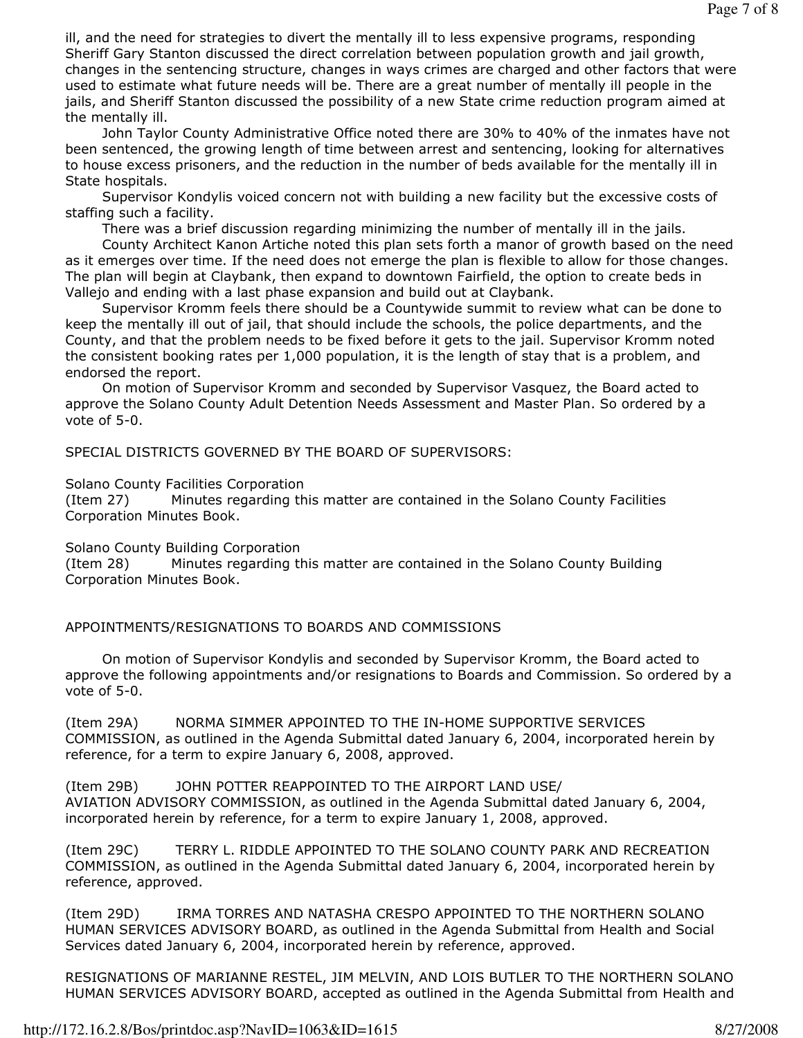ill, and the need for strategies to divert the mentally ill to less expensive programs, responding Sheriff Gary Stanton discussed the direct correlation between population growth and jail growth, changes in the sentencing structure, changes in ways crimes are charged and other factors that were used to estimate what future needs will be. There are a great number of mentally ill people in the jails, and Sheriff Stanton discussed the possibility of a new State crime reduction program aimed at the mentally ill.

 John Taylor County Administrative Office noted there are 30% to 40% of the inmates have not been sentenced, the growing length of time between arrest and sentencing, looking for alternatives to house excess prisoners, and the reduction in the number of beds available for the mentally ill in State hospitals.

 Supervisor Kondylis voiced concern not with building a new facility but the excessive costs of staffing such a facility.

There was a brief discussion regarding minimizing the number of mentally ill in the jails.

 County Architect Kanon Artiche noted this plan sets forth a manor of growth based on the need as it emerges over time. If the need does not emerge the plan is flexible to allow for those changes. The plan will begin at Claybank, then expand to downtown Fairfield, the option to create beds in Vallejo and ending with a last phase expansion and build out at Claybank.

 Supervisor Kromm feels there should be a Countywide summit to review what can be done to keep the mentally ill out of jail, that should include the schools, the police departments, and the County, and that the problem needs to be fixed before it gets to the jail. Supervisor Kromm noted the consistent booking rates per 1,000 population, it is the length of stay that is a problem, and endorsed the report.

 On motion of Supervisor Kromm and seconded by Supervisor Vasquez, the Board acted to approve the Solano County Adult Detention Needs Assessment and Master Plan. So ordered by a vote of 5-0.

SPECIAL DISTRICTS GOVERNED BY THE BOARD OF SUPERVISORS:

Solano County Facilities Corporation

(Item 27) Minutes regarding this matter are contained in the Solano County Facilities Corporation Minutes Book.

Solano County Building Corporation

(Item 28) Minutes regarding this matter are contained in the Solano County Building Corporation Minutes Book.

APPOINTMENTS/RESIGNATIONS TO BOARDS AND COMMISSIONS

 On motion of Supervisor Kondylis and seconded by Supervisor Kromm, the Board acted to approve the following appointments and/or resignations to Boards and Commission. So ordered by a vote of 5-0.

(Item 29A) NORMA SIMMER APPOINTED TO THE IN-HOME SUPPORTIVE SERVICES COMMISSION, as outlined in the Agenda Submittal dated January 6, 2004, incorporated herein by reference, for a term to expire January 6, 2008, approved.

(Item 29B) JOHN POTTER REAPPOINTED TO THE AIRPORT LAND USE/ AVIATION ADVISORY COMMISSION, as outlined in the Agenda Submittal dated January 6, 2004, incorporated herein by reference, for a term to expire January 1, 2008, approved.

(Item 29C) TERRY L. RIDDLE APPOINTED TO THE SOLANO COUNTY PARK AND RECREATION COMMISSION, as outlined in the Agenda Submittal dated January 6, 2004, incorporated herein by reference, approved.

(Item 29D) IRMA TORRES AND NATASHA CRESPO APPOINTED TO THE NORTHERN SOLANO HUMAN SERVICES ADVISORY BOARD, as outlined in the Agenda Submittal from Health and Social Services dated January 6, 2004, incorporated herein by reference, approved.

RESIGNATIONS OF MARIANNE RESTEL, JIM MELVIN, AND LOIS BUTLER TO THE NORTHERN SOLANO HUMAN SERVICES ADVISORY BOARD, accepted as outlined in the Agenda Submittal from Health and